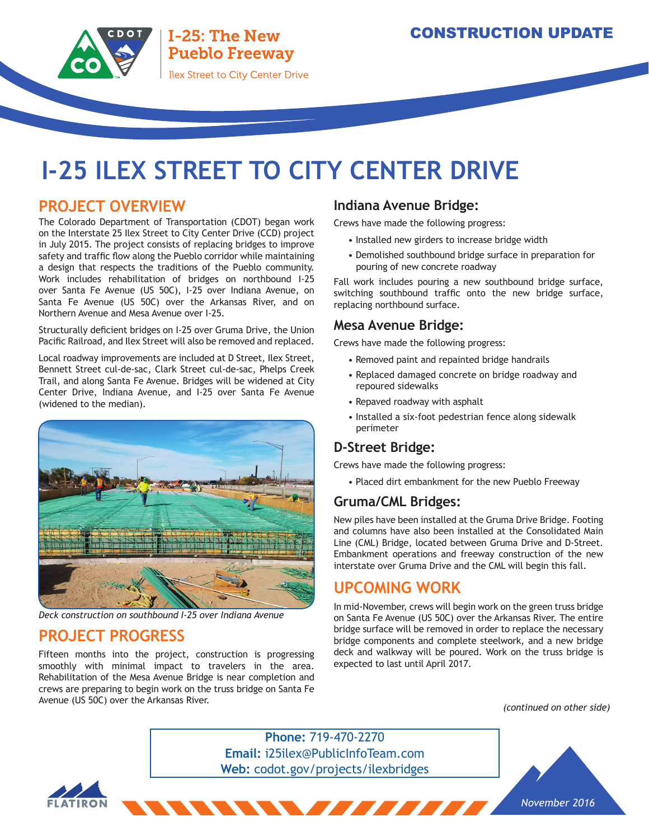# **I-25 ILEX STREET TO CITY CENTER DRIVE**

#### **PROJECT OVERVIEW**

The Colorado Department of Transportation (CDOT) began work on the Interstate 25 Ilex Street to City Center Drive (CCD) project in July 2015. The project consists of replacing bridges to improve safety and traffic flow along the Pueblo corridor while maintaining a design that respects the traditions of the Pueblo community. Work includes rehabilitation of bridges on northbound I-25 over Santa Fe Avenue (US 50C), I-25 over Indiana Avenue, on Santa Fe Avenue (US 50C) over the Arkansas River, and on Northern Avenue and Mesa Avenue over I-25.

Structurally deficient bridges on I-25 over Gruma Drive, the Union Pacific Railroad, and Ilex Street will also be removed and replaced.

Local roadway improvements are included at D Street, Ilex Street, Bennett Street cul-de-sac, Clark Street cul-de-sac, Phelps Creek Trail, and along Santa Fe Avenue. Bridges will be widened at City Center Drive, Indiana Avenue, and I-25 over Santa Fe Avenue (widened to the median).



*Deck construction on southbound I-25 over Indiana Avenue*

## **PROJECT PROGRESS**

Fifteen months into the project, construction is progressing smoothly with minimal impact to travelers in the area. Rehabilitation of the Mesa Avenue Bridge is near completion and crews are preparing to begin work on the truss bridge on Santa Fe Avenue (US 50C) over the Arkansas River.

#### **Indiana Avenue Bridge:**

Crews have made the following progress:

- Installed new girders to increase bridge width
- Demolished southbound bridge surface in preparation for pouring of new concrete roadway

Fall work includes pouring a new southbound bridge surface, switching southbound traffic onto the new bridge surface, replacing northbound surface.

#### **Mesa Avenue Bridge:**

Crews have made the following progress:

- Removed paint and repainted bridge handrails
- Replaced damaged concrete on bridge roadway and repoured sidewalks
- Repaved roadway with asphalt
- Installed a six-foot pedestrian fence along sidewalk perimeter

#### **D-Street Bridge:**

Crews have made the following progress:

• Placed dirt embankment for the new Pueblo Freeway

#### **Gruma/CML Bridges:**

New piles have been installed at the Gruma Drive Bridge. Footing and columns have also been installed at the Consolidated Main Line (CML) Bridge, located between Gruma Drive and D-Street. Embankment operations and freeway construction of the new interstate over Gruma Drive and the CML will begin this fall.

### **UPCOMING WORK**

In mid-November, crews will begin work on the green truss bridge on Santa Fe Avenue (US 50C) over the Arkansas River. The entire bridge surface will be removed in order to replace the necessary bridge components and complete steelwork, and a new bridge deck and walkway will be poured. Work on the truss bridge is expected to last until April 2017.

*(continued on other side)*

**Phone:** 719-470-2270 **Email:** i25ilex@PublicInfoTeam.com **Web:** codot.gov/projects/ilexbridges

**The Contract of the Contract of the Contract of the Contract of the Contract of the Contract of the Contract of the Contract of the Contract of the Contract of the Contract of the Contract of the Contract of the Contract**